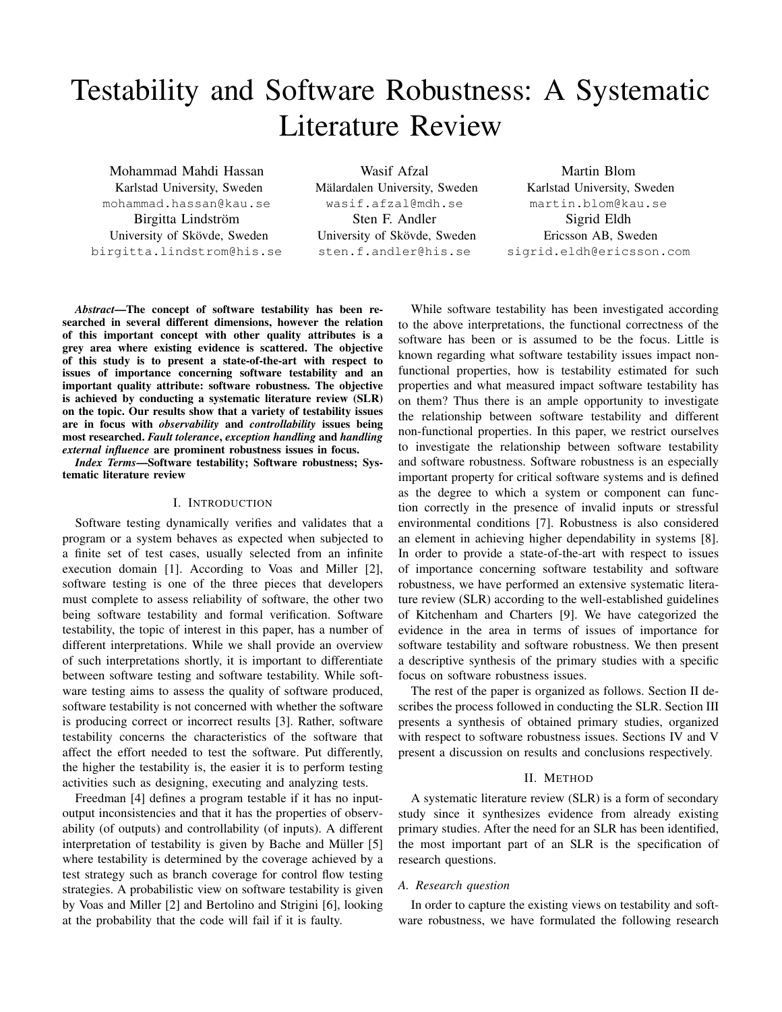# Testability and Software Robustness: A Systematic Literature Review

Mohammad Mahdi Hassan Karlstad University, Sweden mohammad.hassan@kau.se Birgitta Lindström University of Skövde, Sweden birgitta.lindstrom@his.se

Wasif Afzal Mälardalen University, Sweden wasif.afzal@mdh.se Sten F. Andler University of Skövde, Sweden sten.f.andler@his.se

Martin Blom Karlstad University, Sweden martin.blom@kau.se Sigrid Eldh Ericsson AB, Sweden sigrid.eldh@ericsson.com

*Abstract*—The concept of software testability has been researched in several different dimensions, however the relation of this important concept with other quality attributes is a grey area where existing evidence is scattered. The objective of this study is to present a state-of-the-art with respect to issues of importance concerning software testability and an important quality attribute: software robustness. The objective is achieved by conducting a systematic literature review (SLR) on the topic. Our results show that a variety of testability issues are in focus with *observability* and *controllability* issues being most researched. *Fault tolerance*, *exception handling* and *handling external influence* are prominent robustness issues in focus.

*Index Terms*—Software testability; Software robustness; Systematic literature review

## I. INTRODUCTION

Software testing dynamically verifies and validates that a program or a system behaves as expected when subjected to a finite set of test cases, usually selected from an infinite execution domain [1]. According to Voas and Miller [2], software testing is one of the three pieces that developers must complete to assess reliability of software, the other two being software testability and formal verification. Software testability, the topic of interest in this paper, has a number of different interpretations. While we shall provide an overview of such interpretations shortly, it is important to differentiate between software testing and software testability. While software testing aims to assess the quality of software produced, software testability is not concerned with whether the software is producing correct or incorrect results [3]. Rather, software testability concerns the characteristics of the software that affect the effort needed to test the software. Put differently, the higher the testability is, the easier it is to perform testing activities such as designing, executing and analyzing tests.

Freedman [4] defines a program testable if it has no inputoutput inconsistencies and that it has the properties of observability (of outputs) and controllability (of inputs). A different interpretation of testability is given by Bache and Müller [5] where testability is determined by the coverage achieved by a test strategy such as branch coverage for control flow testing strategies. A probabilistic view on software testability is given by Voas and Miller [2] and Bertolino and Strigini [6], looking at the probability that the code will fail if it is faulty.

While software testability has been investigated according to the above interpretations, the functional correctness of the software has been or is assumed to be the focus. Little is known regarding what software testability issues impact nonfunctional properties, how is testability estimated for such properties and what measured impact software testability has on them? Thus there is an ample opportunity to investigate the relationship between software testability and different non-functional properties. In this paper, we restrict ourselves to investigate the relationship between software testability and software robustness. Software robustness is an especially important property for critical software systems and is defined as the degree to which a system or component can function correctly in the presence of invalid inputs or stressful environmental conditions [7]. Robustness is also considered an element in achieving higher dependability in systems [8]. In order to provide a state-of-the-art with respect to issues of importance concerning software testability and software robustness, we have performed an extensive systematic literature review (SLR) according to the well-established guidelines of Kitchenham and Charters [9]. We have categorized the evidence in the area in terms of issues of importance for software testability and software robustness. We then present a descriptive synthesis of the primary studies with a specific focus on software robustness issues.

The rest of the paper is organized as follows. Section II describes the process followed in conducting the SLR. Section III presents a synthesis of obtained primary studies, organized with respect to software robustness issues. Sections IV and V present a discussion on results and conclusions respectively.

## II. METHOD

A systematic literature review (SLR) is a form of secondary study since it synthesizes evidence from already existing primary studies. After the need for an SLR has been identified, the most important part of an SLR is the specification of research questions.

#### *A. Research question*

In order to capture the existing views on testability and software robustness, we have formulated the following research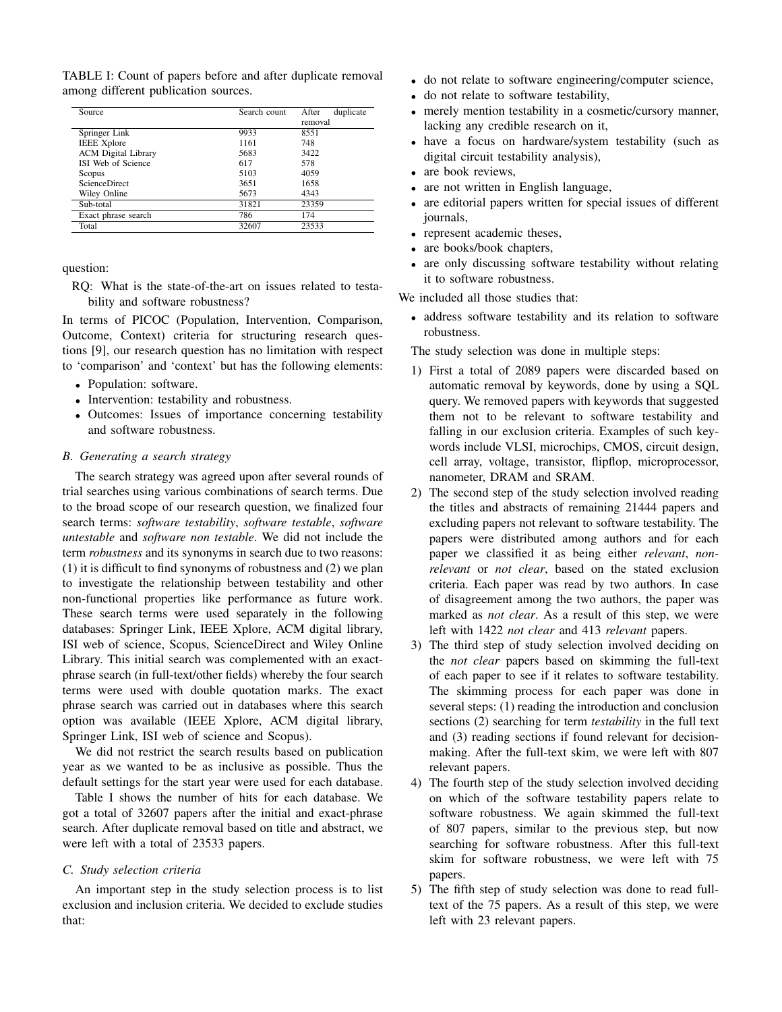TABLE I: Count of papers before and after duplicate removal among different publication sources.

| Source                     | Search count | duplicate<br>After<br>removal |
|----------------------------|--------------|-------------------------------|
| Springer Link              | 9933         | 8551                          |
| <b>IEEE Xplore</b>         | 1161         | 748                           |
| <b>ACM</b> Digital Library | 5683         | 3422                          |
| ISI Web of Science         | 617          | 578                           |
| Scopus                     | 5103         | 4059                          |
| <b>ScienceDirect</b>       | 3651         | 1658                          |
| Wiley Online               | 5673         | 4343                          |
| Sub-total                  | 31821        | 23359                         |
| Exact phrase search        | 786          | 174                           |
| Total                      | 32607        | 23533                         |

question:

RQ: What is the state-of-the-art on issues related to testability and software robustness?

In terms of PICOC (Population, Intervention, Comparison, Outcome, Context) criteria for structuring research questions [9], our research question has no limitation with respect to 'comparison' and 'context' but has the following elements:

- Population: software.
- Intervention: testability and robustness.
- Outcomes: Issues of importance concerning testability and software robustness.

# *B. Generating a search strategy*

The search strategy was agreed upon after several rounds of trial searches using various combinations of search terms. Due to the broad scope of our research question, we finalized four search terms: *software testability*, *software testable*, *software untestable* and *software non testable*. We did not include the term *robustness* and its synonyms in search due to two reasons: (1) it is difficult to find synonyms of robustness and (2) we plan to investigate the relationship between testability and other non-functional properties like performance as future work. These search terms were used separately in the following databases: Springer Link, IEEE Xplore, ACM digital library, ISI web of science, Scopus, ScienceDirect and Wiley Online Library. This initial search was complemented with an exactphrase search (in full-text/other fields) whereby the four search terms were used with double quotation marks. The exact phrase search was carried out in databases where this search option was available (IEEE Xplore, ACM digital library, Springer Link, ISI web of science and Scopus).

We did not restrict the search results based on publication year as we wanted to be as inclusive as possible. Thus the default settings for the start year were used for each database.

Table I shows the number of hits for each database. We got a total of 32607 papers after the initial and exact-phrase search. After duplicate removal based on title and abstract, we were left with a total of 23533 papers.

## *C. Study selection criteria*

An important step in the study selection process is to list exclusion and inclusion criteria. We decided to exclude studies that:

- do not relate to software engineering/computer science,
- do not relate to software testability,
- merely mention testability in a cosmetic/cursory manner, lacking any credible research on it,
- have a focus on hardware/system testability (such as digital circuit testability analysis),
- are book reviews,
- are not written in English language,
- are editorial papers written for special issues of different journals,
- represent academic theses,
- are books/book chapters,
- are only discussing software testability without relating it to software robustness.

We included all those studies that:

• address software testability and its relation to software robustness.

The study selection was done in multiple steps:

- 1) First a total of 2089 papers were discarded based on automatic removal by keywords, done by using a SQL query. We removed papers with keywords that suggested them not to be relevant to software testability and falling in our exclusion criteria. Examples of such keywords include VLSI, microchips, CMOS, circuit design, cell array, voltage, transistor, flipflop, microprocessor, nanometer, DRAM and SRAM.
- 2) The second step of the study selection involved reading the titles and abstracts of remaining 21444 papers and excluding papers not relevant to software testability. The papers were distributed among authors and for each paper we classified it as being either *relevant*, *nonrelevant* or *not clear*, based on the stated exclusion criteria. Each paper was read by two authors. In case of disagreement among the two authors, the paper was marked as *not clear*. As a result of this step, we were left with 1422 *not clear* and 413 *relevant* papers.
- 3) The third step of study selection involved deciding on the *not clear* papers based on skimming the full-text of each paper to see if it relates to software testability. The skimming process for each paper was done in several steps: (1) reading the introduction and conclusion sections (2) searching for term *testability* in the full text and (3) reading sections if found relevant for decisionmaking. After the full-text skim, we were left with 807 relevant papers.
- 4) The fourth step of the study selection involved deciding on which of the software testability papers relate to software robustness. We again skimmed the full-text of 807 papers, similar to the previous step, but now searching for software robustness. After this full-text skim for software robustness, we were left with 75 papers.
- 5) The fifth step of study selection was done to read fulltext of the 75 papers. As a result of this step, we were left with 23 relevant papers.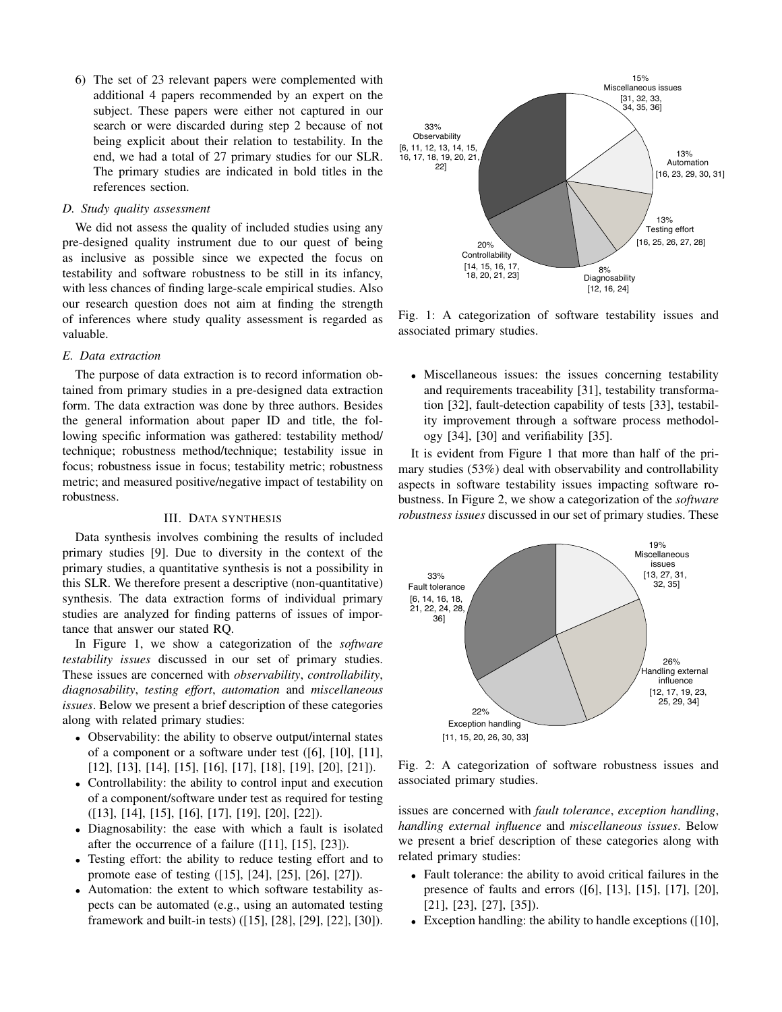6) The set of 23 relevant papers were complemented with additional 4 papers recommended by an expert on the subject. These papers were either not captured in our search or were discarded during step 2 because of not being explicit about their relation to testability. In the end, we had a total of 27 primary studies for our SLR. The primary studies are indicated in bold titles in the references section.

## *D. Study quality assessment*

We did not assess the quality of included studies using any pre-designed quality instrument due to our quest of being as inclusive as possible since we expected the focus on testability and software robustness to be still in its infancy, with less chances of finding large-scale empirical studies. Also our research question does not aim at finding the strength of inferences where study quality assessment is regarded as valuable.

## *E. Data extraction*

The purpose of data extraction is to record information obtained from primary studies in a pre-designed data extraction form. The data extraction was done by three authors. Besides the general information about paper ID and title, the following specific information was gathered: testability method/ technique; robustness method/technique; testability issue in focus; robustness issue in focus; testability metric; robustness metric; and measured positive/negative impact of testability on robustness.

## III. DATA SYNTHESIS

Data synthesis involves combining the results of included primary studies [9]. Due to diversity in the context of the primary studies, a quantitative synthesis is not a possibility in this SLR. We therefore present a descriptive (non-quantitative) synthesis. The data extraction forms of individual primary studies are analyzed for finding patterns of issues of importance that answer our stated RQ.

In Figure 1, we show a categorization of the *software testability issues* discussed in our set of primary studies. These issues are concerned with *observability*, *controllability*, *diagnosability*, *testing effort*, *automation* and *miscellaneous issues*. Below we present a brief description of these categories along with related primary studies:

- Observability: the ability to observe output/internal states of a component or a software under test ([6], [10], [11], [12], [13], [14], [15], [16], [17], [18], [19], [20], [21]).
- Controllability: the ability to control input and execution of a component/software under test as required for testing ([13], [14], [15], [16], [17], [19], [20], [22]).
- Diagnosability: the ease with which a fault is isolated after the occurrence of a failure ([11], [15], [23]).
- Testing effort: the ability to reduce testing effort and to promote ease of testing ([15], [24], [25], [26], [27]).
- Automation: the extent to which software testability aspects can be automated (e.g., using an automated testing framework and built-in tests) ([15], [28], [29], [22], [30]).



Fig. 1: A categorization of software testability issues and associated primary studies.

• Miscellaneous issues: the issues concerning testability and requirements traceability [31], testability transformation [32], fault-detection capability of tests [33], testability improvement through a software process methodology [34], [30] and verifiability [35].

It is evident from Figure 1 that more than half of the primary studies (53%) deal with observability and controllability aspects in software testability issues impacting software robustness. In Figure 2, we show a categorization of the *software robustness issues* discussed in our set of primary studies. These



Fig. 2: A categorization of software robustness issues and associated primary studies.

issues are concerned with *fault tolerance*, *exception handling*, *handling external influence* and *miscellaneous issues*. Below we present a brief description of these categories along with related primary studies:

- Fault tolerance: the ability to avoid critical failures in the presence of faults and errors ([6], [13], [15], [17], [20], [21], [23], [27], [35]).
- Exception handling: the ability to handle exceptions ([10],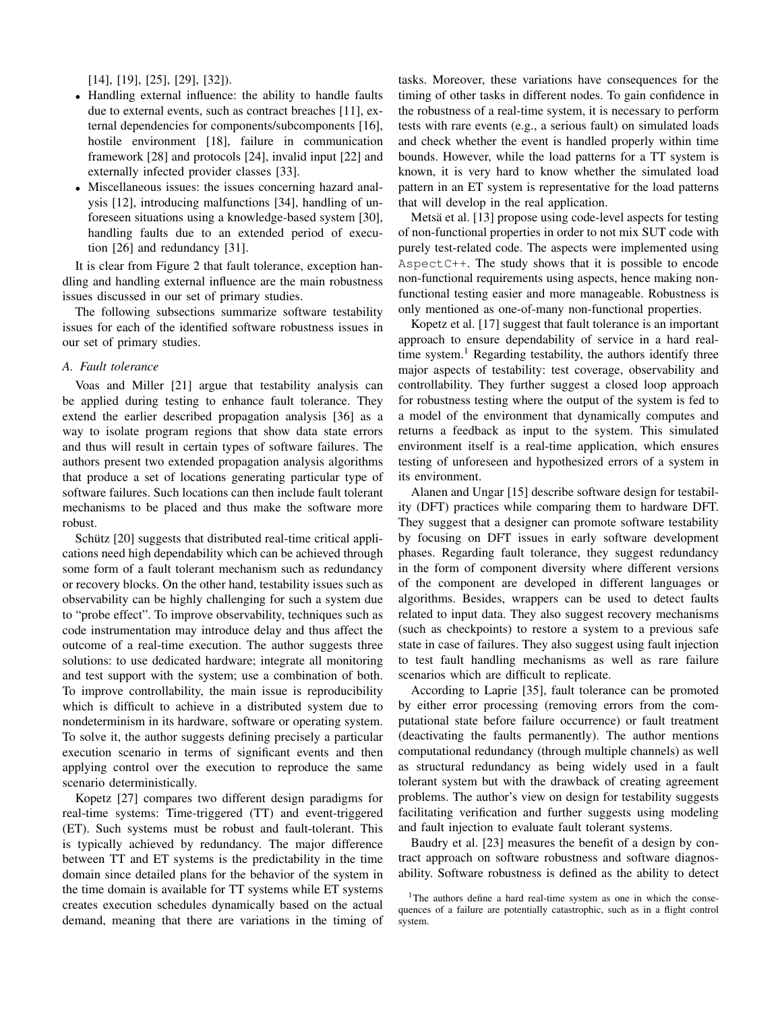[14], [19], [25], [29], [32]).

- Handling external influence: the ability to handle faults due to external events, such as contract breaches [11], external dependencies for components/subcomponents [16], hostile environment [18], failure in communication framework [28] and protocols [24], invalid input [22] and externally infected provider classes [33].
- Miscellaneous issues: the issues concerning hazard analysis [12], introducing malfunctions [34], handling of unforeseen situations using a knowledge-based system [30], handling faults due to an extended period of execution [26] and redundancy [31].

It is clear from Figure 2 that fault tolerance, exception handling and handling external influence are the main robustness issues discussed in our set of primary studies.

The following subsections summarize software testability issues for each of the identified software robustness issues in our set of primary studies.

### *A. Fault tolerance*

Voas and Miller [21] argue that testability analysis can be applied during testing to enhance fault tolerance. They extend the earlier described propagation analysis [36] as a way to isolate program regions that show data state errors and thus will result in certain types of software failures. The authors present two extended propagation analysis algorithms that produce a set of locations generating particular type of software failures. Such locations can then include fault tolerant mechanisms to be placed and thus make the software more robust.

Schütz [20] suggests that distributed real-time critical applications need high dependability which can be achieved through some form of a fault tolerant mechanism such as redundancy or recovery blocks. On the other hand, testability issues such as observability can be highly challenging for such a system due to "probe effect". To improve observability, techniques such as code instrumentation may introduce delay and thus affect the outcome of a real-time execution. The author suggests three solutions: to use dedicated hardware; integrate all monitoring and test support with the system; use a combination of both. To improve controllability, the main issue is reproducibility which is difficult to achieve in a distributed system due to nondeterminism in its hardware, software or operating system. To solve it, the author suggests defining precisely a particular execution scenario in terms of significant events and then applying control over the execution to reproduce the same scenario deterministically.

Kopetz [27] compares two different design paradigms for real-time systems: Time-triggered (TT) and event-triggered (ET). Such systems must be robust and fault-tolerant. This is typically achieved by redundancy. The major difference between TT and ET systems is the predictability in the time domain since detailed plans for the behavior of the system in the time domain is available for TT systems while ET systems creates execution schedules dynamically based on the actual demand, meaning that there are variations in the timing of

tasks. Moreover, these variations have consequences for the timing of other tasks in different nodes. To gain confidence in the robustness of a real-time system, it is necessary to perform tests with rare events (e.g., a serious fault) on simulated loads and check whether the event is handled properly within time bounds. However, while the load patterns for a TT system is known, it is very hard to know whether the simulated load pattern in an ET system is representative for the load patterns that will develop in the real application.

Metsä et al. [13] propose using code-level aspects for testing of non-functional properties in order to not mix SUT code with purely test-related code. The aspects were implemented using Aspect  $C++$ . The study shows that it is possible to encode non-functional requirements using aspects, hence making nonfunctional testing easier and more manageable. Robustness is only mentioned as one-of-many non-functional properties.

Kopetz et al. [17] suggest that fault tolerance is an important approach to ensure dependability of service in a hard realtime system.<sup>1</sup> Regarding testability, the authors identify three major aspects of testability: test coverage, observability and controllability. They further suggest a closed loop approach for robustness testing where the output of the system is fed to a model of the environment that dynamically computes and returns a feedback as input to the system. This simulated environment itself is a real-time application, which ensures testing of unforeseen and hypothesized errors of a system in its environment.

Alanen and Ungar [15] describe software design for testability (DFT) practices while comparing them to hardware DFT. They suggest that a designer can promote software testability by focusing on DFT issues in early software development phases. Regarding fault tolerance, they suggest redundancy in the form of component diversity where different versions of the component are developed in different languages or algorithms. Besides, wrappers can be used to detect faults related to input data. They also suggest recovery mechanisms (such as checkpoints) to restore a system to a previous safe state in case of failures. They also suggest using fault injection to test fault handling mechanisms as well as rare failure scenarios which are difficult to replicate.

According to Laprie [35], fault tolerance can be promoted by either error processing (removing errors from the computational state before failure occurrence) or fault treatment (deactivating the faults permanently). The author mentions computational redundancy (through multiple channels) as well as structural redundancy as being widely used in a fault tolerant system but with the drawback of creating agreement problems. The author's view on design for testability suggests facilitating verification and further suggests using modeling and fault injection to evaluate fault tolerant systems.

Baudry et al. [23] measures the benefit of a design by contract approach on software robustness and software diagnosability. Software robustness is defined as the ability to detect

<sup>&</sup>lt;sup>1</sup>The authors define a hard real-time system as one in which the consequences of a failure are potentially catastrophic, such as in a flight control system.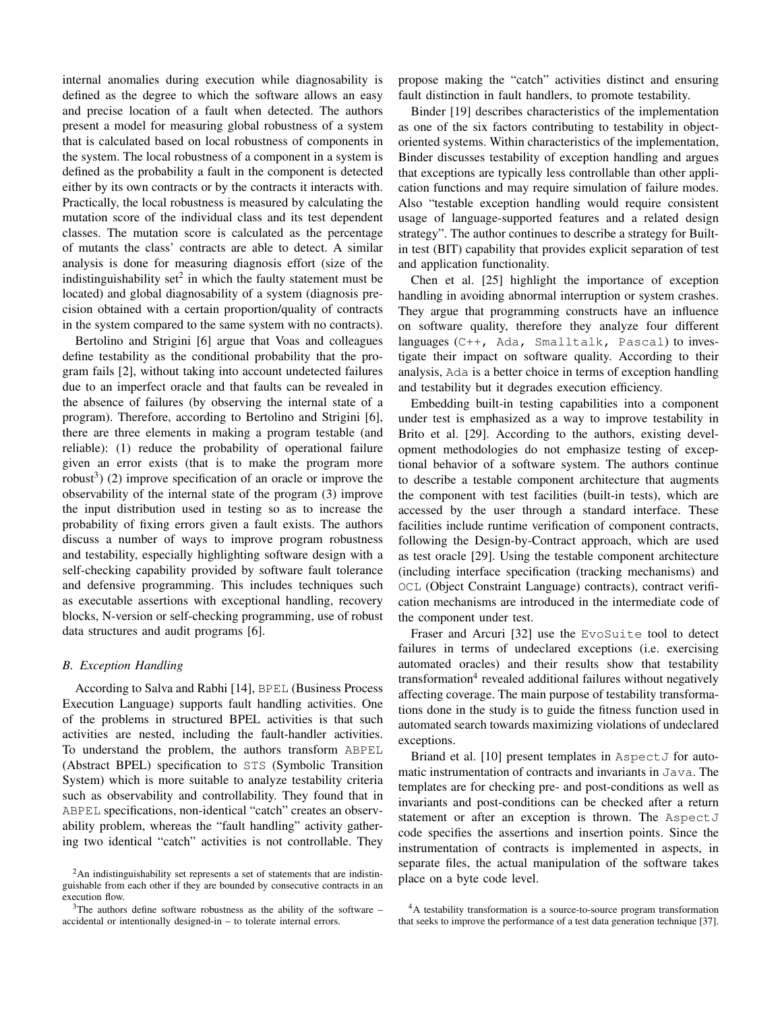internal anomalies during execution while diagnosability is defined as the degree to which the software allows an easy and precise location of a fault when detected. The authors present a model for measuring global robustness of a system that is calculated based on local robustness of components in the system. The local robustness of a component in a system is defined as the probability a fault in the component is detected either by its own contracts or by the contracts it interacts with. Practically, the local robustness is measured by calculating the mutation score of the individual class and its test dependent classes. The mutation score is calculated as the percentage of mutants the class' contracts are able to detect. A similar analysis is done for measuring diagnosis effort (size of the indistinguishability set<sup>2</sup> in which the faulty statement must be located) and global diagnosability of a system (diagnosis precision obtained with a certain proportion/quality of contracts in the system compared to the same system with no contracts).

Bertolino and Strigini [6] argue that Voas and colleagues define testability as the conditional probability that the program fails [2], without taking into account undetected failures due to an imperfect oracle and that faults can be revealed in the absence of failures (by observing the internal state of a program). Therefore, according to Bertolino and Strigini [6], there are three elements in making a program testable (and reliable): (1) reduce the probability of operational failure given an error exists (that is to make the program more robust<sup>3</sup>) (2) improve specification of an oracle or improve the observability of the internal state of the program (3) improve the input distribution used in testing so as to increase the probability of fixing errors given a fault exists. The authors discuss a number of ways to improve program robustness and testability, especially highlighting software design with a self-checking capability provided by software fault tolerance and defensive programming. This includes techniques such as executable assertions with exceptional handling, recovery blocks, N-version or self-checking programming, use of robust data structures and audit programs [6].

## *B. Exception Handling*

According to Salva and Rabhi [14], BPEL (Business Process Execution Language) supports fault handling activities. One of the problems in structured BPEL activities is that such activities are nested, including the fault-handler activities. To understand the problem, the authors transform ABPEL (Abstract BPEL) specification to STS (Symbolic Transition System) which is more suitable to analyze testability criteria such as observability and controllability. They found that in ABPEL specifications, non-identical "catch" creates an observability problem, whereas the "fault handling" activity gathering two identical "catch" activities is not controllable. They propose making the "catch" activities distinct and ensuring fault distinction in fault handlers, to promote testability.

Binder [19] describes characteristics of the implementation as one of the six factors contributing to testability in objectoriented systems. Within characteristics of the implementation, Binder discusses testability of exception handling and argues that exceptions are typically less controllable than other application functions and may require simulation of failure modes. Also "testable exception handling would require consistent usage of language-supported features and a related design strategy". The author continues to describe a strategy for Builtin test (BIT) capability that provides explicit separation of test and application functionality.

Chen et al. [25] highlight the importance of exception handling in avoiding abnormal interruption or system crashes. They argue that programming constructs have an influence on software quality, therefore they analyze four different languages (C++, Ada, Smalltalk, Pascal) to investigate their impact on software quality. According to their analysis, Ada is a better choice in terms of exception handling and testability but it degrades execution efficiency.

Embedding built-in testing capabilities into a component under test is emphasized as a way to improve testability in Brito et al. [29]. According to the authors, existing development methodologies do not emphasize testing of exceptional behavior of a software system. The authors continue to describe a testable component architecture that augments the component with test facilities (built-in tests), which are accessed by the user through a standard interface. These facilities include runtime verification of component contracts, following the Design-by-Contract approach, which are used as test oracle [29]. Using the testable component architecture (including interface specification (tracking mechanisms) and OCL (Object Constraint Language) contracts), contract verification mechanisms are introduced in the intermediate code of the component under test.

Fraser and Arcuri [32] use the EvoSuite tool to detect failures in terms of undeclared exceptions (i.e. exercising automated oracles) and their results show that testability transformation<sup>4</sup> revealed additional failures without negatively affecting coverage. The main purpose of testability transformations done in the study is to guide the fitness function used in automated search towards maximizing violations of undeclared exceptions.

Briand et al. [10] present templates in AspectJ for automatic instrumentation of contracts and invariants in Java. The templates are for checking pre- and post-conditions as well as invariants and post-conditions can be checked after a return statement or after an exception is thrown. The AspectJ code specifies the assertions and insertion points. Since the instrumentation of contracts is implemented in aspects, in separate files, the actual manipulation of the software takes place on a byte code level.

<sup>&</sup>lt;sup>2</sup>An indistinguishability set represents a set of statements that are indistinguishable from each other if they are bounded by consecutive contracts in an execution flow.

 $3$ The authors define software robustness as the ability of the software – accidental or intentionally designed-in – to tolerate internal errors.

<sup>4</sup>A testability transformation is a source-to-source program transformation that seeks to improve the performance of a test data generation technique [37].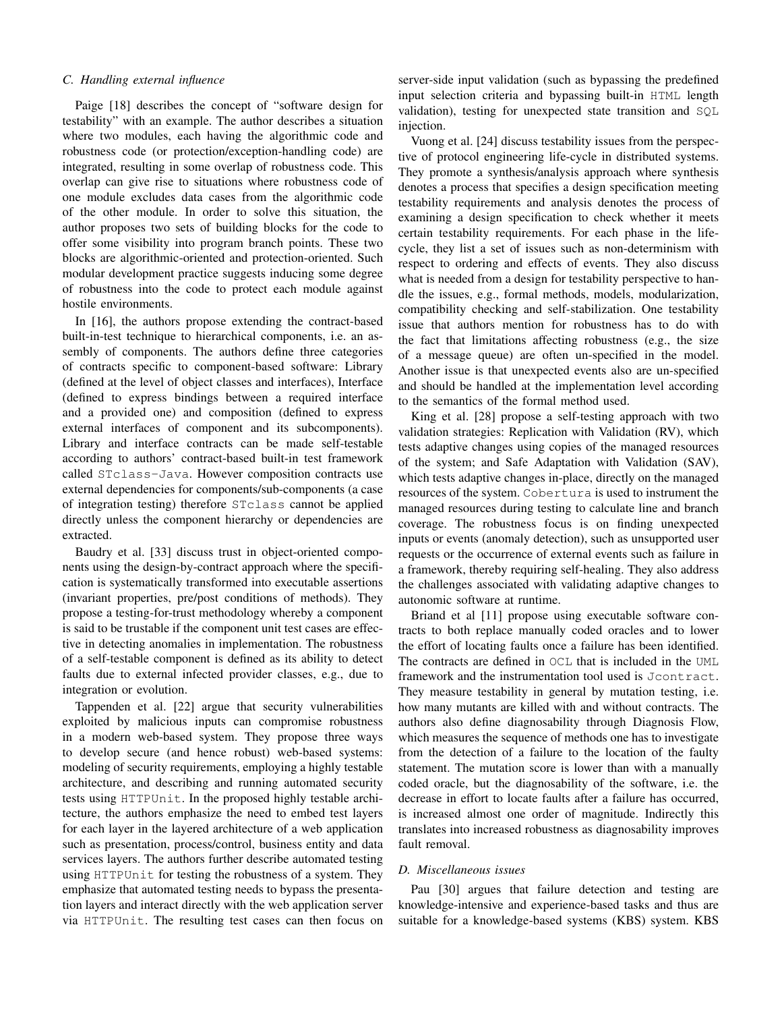## *C. Handling external influence*

Paige [18] describes the concept of "software design for testability" with an example. The author describes a situation where two modules, each having the algorithmic code and robustness code (or protection/exception-handling code) are integrated, resulting in some overlap of robustness code. This overlap can give rise to situations where robustness code of one module excludes data cases from the algorithmic code of the other module. In order to solve this situation, the author proposes two sets of building blocks for the code to offer some visibility into program branch points. These two blocks are algorithmic-oriented and protection-oriented. Such modular development practice suggests inducing some degree of robustness into the code to protect each module against hostile environments.

In [16], the authors propose extending the contract-based built-in-test technique to hierarchical components, i.e. an assembly of components. The authors define three categories of contracts specific to component-based software: Library (defined at the level of object classes and interfaces), Interface (defined to express bindings between a required interface and a provided one) and composition (defined to express external interfaces of component and its subcomponents). Library and interface contracts can be made self-testable according to authors' contract-based built-in test framework called STclass-Java. However composition contracts use external dependencies for components/sub-components (a case of integration testing) therefore STclass cannot be applied directly unless the component hierarchy or dependencies are extracted.

Baudry et al. [33] discuss trust in object-oriented components using the design-by-contract approach where the specification is systematically transformed into executable assertions (invariant properties, pre/post conditions of methods). They propose a testing-for-trust methodology whereby a component is said to be trustable if the component unit test cases are effective in detecting anomalies in implementation. The robustness of a self-testable component is defined as its ability to detect faults due to external infected provider classes, e.g., due to integration or evolution.

Tappenden et al. [22] argue that security vulnerabilities exploited by malicious inputs can compromise robustness in a modern web-based system. They propose three ways to develop secure (and hence robust) web-based systems: modeling of security requirements, employing a highly testable architecture, and describing and running automated security tests using HTTPUnit. In the proposed highly testable architecture, the authors emphasize the need to embed test layers for each layer in the layered architecture of a web application such as presentation, process/control, business entity and data services layers. The authors further describe automated testing using HTTPUnit for testing the robustness of a system. They emphasize that automated testing needs to bypass the presentation layers and interact directly with the web application server via HTTPUnit. The resulting test cases can then focus on

server-side input validation (such as bypassing the predefined input selection criteria and bypassing built-in HTML length validation), testing for unexpected state transition and SQL injection.

Vuong et al. [24] discuss testability issues from the perspective of protocol engineering life-cycle in distributed systems. They promote a synthesis/analysis approach where synthesis denotes a process that specifies a design specification meeting testability requirements and analysis denotes the process of examining a design specification to check whether it meets certain testability requirements. For each phase in the lifecycle, they list a set of issues such as non-determinism with respect to ordering and effects of events. They also discuss what is needed from a design for testability perspective to handle the issues, e.g., formal methods, models, modularization, compatibility checking and self-stabilization. One testability issue that authors mention for robustness has to do with the fact that limitations affecting robustness (e.g., the size of a message queue) are often un-specified in the model. Another issue is that unexpected events also are un-specified and should be handled at the implementation level according to the semantics of the formal method used.

King et al. [28] propose a self-testing approach with two validation strategies: Replication with Validation (RV), which tests adaptive changes using copies of the managed resources of the system; and Safe Adaptation with Validation (SAV), which tests adaptive changes in-place, directly on the managed resources of the system. Cobertura is used to instrument the managed resources during testing to calculate line and branch coverage. The robustness focus is on finding unexpected inputs or events (anomaly detection), such as unsupported user requests or the occurrence of external events such as failure in a framework, thereby requiring self-healing. They also address the challenges associated with validating adaptive changes to autonomic software at runtime.

Briand et al [11] propose using executable software contracts to both replace manually coded oracles and to lower the effort of locating faults once a failure has been identified. The contracts are defined in OCL that is included in the UML framework and the instrumentation tool used is Jcontract. They measure testability in general by mutation testing, i.e. how many mutants are killed with and without contracts. The authors also define diagnosability through Diagnosis Flow, which measures the sequence of methods one has to investigate from the detection of a failure to the location of the faulty statement. The mutation score is lower than with a manually coded oracle, but the diagnosability of the software, i.e. the decrease in effort to locate faults after a failure has occurred, is increased almost one order of magnitude. Indirectly this translates into increased robustness as diagnosability improves fault removal.

## *D. Miscellaneous issues*

Pau [30] argues that failure detection and testing are knowledge-intensive and experience-based tasks and thus are suitable for a knowledge-based systems (KBS) system. KBS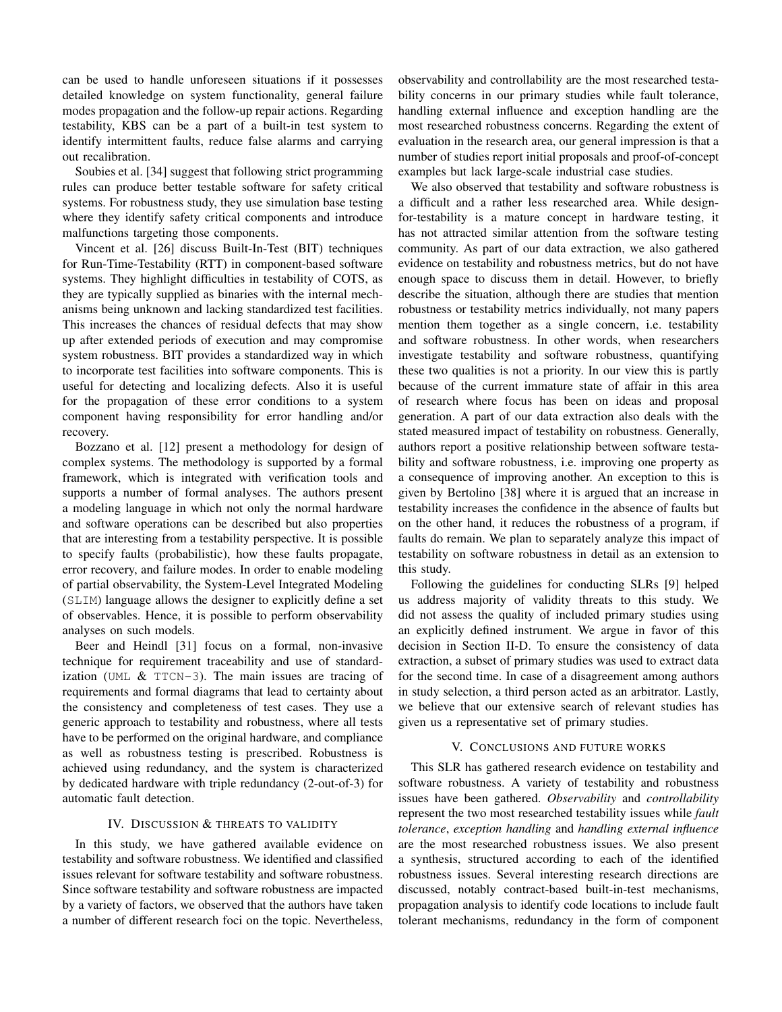can be used to handle unforeseen situations if it possesses detailed knowledge on system functionality, general failure modes propagation and the follow-up repair actions. Regarding testability, KBS can be a part of a built-in test system to identify intermittent faults, reduce false alarms and carrying out recalibration.

Soubies et al. [34] suggest that following strict programming rules can produce better testable software for safety critical systems. For robustness study, they use simulation base testing where they identify safety critical components and introduce malfunctions targeting those components.

Vincent et al. [26] discuss Built-In-Test (BIT) techniques for Run-Time-Testability (RTT) in component-based software systems. They highlight difficulties in testability of COTS, as they are typically supplied as binaries with the internal mechanisms being unknown and lacking standardized test facilities. This increases the chances of residual defects that may show up after extended periods of execution and may compromise system robustness. BIT provides a standardized way in which to incorporate test facilities into software components. This is useful for detecting and localizing defects. Also it is useful for the propagation of these error conditions to a system component having responsibility for error handling and/or recovery.

Bozzano et al. [12] present a methodology for design of complex systems. The methodology is supported by a formal framework, which is integrated with verification tools and supports a number of formal analyses. The authors present a modeling language in which not only the normal hardware and software operations can be described but also properties that are interesting from a testability perspective. It is possible to specify faults (probabilistic), how these faults propagate, error recovery, and failure modes. In order to enable modeling of partial observability, the System-Level Integrated Modeling (SLIM) language allows the designer to explicitly define a set of observables. Hence, it is possible to perform observability analyses on such models.

Beer and Heindl [31] focus on a formal, non-invasive technique for requirement traceability and use of standardization (UML  $&TTCN-3$ ). The main issues are tracing of requirements and formal diagrams that lead to certainty about the consistency and completeness of test cases. They use a generic approach to testability and robustness, where all tests have to be performed on the original hardware, and compliance as well as robustness testing is prescribed. Robustness is achieved using redundancy, and the system is characterized by dedicated hardware with triple redundancy (2-out-of-3) for automatic fault detection.

## IV. DISCUSSION & THREATS TO VALIDITY

In this study, we have gathered available evidence on testability and software robustness. We identified and classified issues relevant for software testability and software robustness. Since software testability and software robustness are impacted by a variety of factors, we observed that the authors have taken a number of different research foci on the topic. Nevertheless,

observability and controllability are the most researched testability concerns in our primary studies while fault tolerance, handling external influence and exception handling are the most researched robustness concerns. Regarding the extent of evaluation in the research area, our general impression is that a number of studies report initial proposals and proof-of-concept examples but lack large-scale industrial case studies.

We also observed that testability and software robustness is a difficult and a rather less researched area. While designfor-testability is a mature concept in hardware testing, it has not attracted similar attention from the software testing community. As part of our data extraction, we also gathered evidence on testability and robustness metrics, but do not have enough space to discuss them in detail. However, to briefly describe the situation, although there are studies that mention robustness or testability metrics individually, not many papers mention them together as a single concern, i.e. testability and software robustness. In other words, when researchers investigate testability and software robustness, quantifying these two qualities is not a priority. In our view this is partly because of the current immature state of affair in this area of research where focus has been on ideas and proposal generation. A part of our data extraction also deals with the stated measured impact of testability on robustness. Generally, authors report a positive relationship between software testability and software robustness, i.e. improving one property as a consequence of improving another. An exception to this is given by Bertolino [38] where it is argued that an increase in testability increases the confidence in the absence of faults but on the other hand, it reduces the robustness of a program, if faults do remain. We plan to separately analyze this impact of testability on software robustness in detail as an extension to this study.

Following the guidelines for conducting SLRs [9] helped us address majority of validity threats to this study. We did not assess the quality of included primary studies using an explicitly defined instrument. We argue in favor of this decision in Section II-D. To ensure the consistency of data extraction, a subset of primary studies was used to extract data for the second time. In case of a disagreement among authors in study selection, a third person acted as an arbitrator. Lastly, we believe that our extensive search of relevant studies has given us a representative set of primary studies.

## V. CONCLUSIONS AND FUTURE WORKS

This SLR has gathered research evidence on testability and software robustness. A variety of testability and robustness issues have been gathered. *Observability* and *controllability* represent the two most researched testability issues while *fault tolerance*, *exception handling* and *handling external influence* are the most researched robustness issues. We also present a synthesis, structured according to each of the identified robustness issues. Several interesting research directions are discussed, notably contract-based built-in-test mechanisms, propagation analysis to identify code locations to include fault tolerant mechanisms, redundancy in the form of component